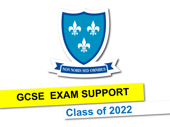# Class of 2022

# **GCSE EXAM SUPPORT**

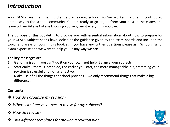# *Introduction*

Your GCSEs are the final hurdle before leaving school. You've worked hard and contributed immensely to the school community. You are ready to go on, perform your best in the exams and leave Soham Village College knowing you've given it everything you can.

The purpose of this booklet is to provide you with essential information about how to prepare for your GCSEs. Subject heads have looked at the guidance given by the exam boards and included the topics and areas of focus in this booklet. If you have any further questions please ask! Schoolis full of exam expertise and we want to help you in any way we can.

# **The key messages are:**

- 1. Get organised! If you can't do it on your own, get help. Balance your subjects.
- 2. Start early there is lots to do, the earlier you start, the more manageable it is, cramming your revision is stressful and not as effective.
- 3. Make use of all the things the school provides we only recommend things that make a big differencel

# **Contents**

- ❖ *How do I organise my revision?*
- ❖ *Where can I get resources to revise for my subjects?*
- ❖ *How do I revise?*
- ❖ *Two different templates for making a revision plan*

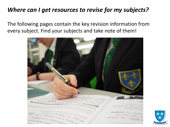# *Where can I get resources to revise for my subjects?*

The following pages contain the key revision information from every subject. Find your subjects and take note of them!



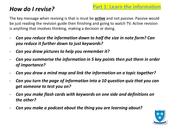# *How do I revise?*

The key message when revising is that is must be **active** and not passive. Passive would be just reading the revision guide then finishing and going to watch TV. Active revision is anything that involves thinking, making a decision or doing.

- Can you reduce the information down to half the size in note form? Can *you reduce it further down to just keywords?*
- *Can you draw pictures to help you remember it?*
- *Can you summarise the information in 5 key points then put them in order of importance?*
- *Can you draw a mind map and link the information on a topic together?*
- Can you turn the page of information into a 10 question quiz that you can *get someone to test you on?*
- *Can you make flash cards with keywords on one side and definitions on the other?*
- *Can you make a podcast about the thing you are learning about?*

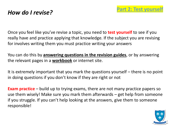# *How do I revise?*

Once you feel like you've revise a topic, you need to **test yourself** to see if you really have and practice applying that knowledge. If the subject you are revising for involves writing them you must practice writing your answers

You can do this by **answering questions in the revision guides**, or by answering the relevant pages in a **workbook** or internet site.

It is extremely important that you mark the questions yourself – there is no point in doing questions if you don't know if they are right or not

**Exam practice** – build up to trying exams, there are not many practice papers so use them wisely! Make sure you mark them afterwards – get help from someone if you struggle. If you can't help looking at the answers, give them to someone responsible!

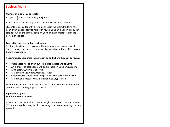# **Subject: Maths**

#### **Number of exams in and length:**

3 papers  $1\frac{1}{2}$  $\frac{1}{2}$  hours each, equally weighted.

Paper 1 is non-calculator, papers 2 and 3 are calculator allowed.

Students are provided with a formula sheet in the exam. Students have been given a paper copy to help with revision and an electronic copy can also be found on the maths revision Google Classrooms (details at the bottom of the page)

#### **Topics that are assessed on each paper:**

All students will be given a copy of the paper by paper breakdown of topics released by Edexcel. These are also available on the maths revision Google Classrooms.

**Recommended resources to use to revise and where they can be found:**

- Past papers will be given out to be used in class and at home
- An extra set of past papers will be available on Google Classroom
- Mymaths [www.mymaths.co.uk](http://www.mymaths.co.uk/)
- Mathswatch: [vle.mathswatch.co.uk/vle/](https://vle.mathswatch.co.uk/vle/)
- Corbettmaths videos and exam practice [www.corbettmaths.com](http://www.corbettmaths.com/)
- Maths Genie<https://www.mathsgenie.co.uk/gcse.html>

Further revision info, online links and links to Eedi webinars can be found on the maths revision google classrooms:

#### **Higher code:** gra4lpe **Foundation code:** mp7iyyv

A reminder that the final two maths twilight revision sessions are on Wed  $27<sup>th</sup>$  Apr and Wed 4<sup>th</sup> May (bookable through the parents evening booking system)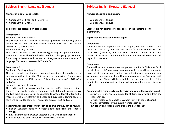# **Subject: English Language (Eduqas)**

#### **Number of exams in and length:**

- Component 1 1 hour and 45 minutes
- Component 2 2 hours

#### **Topics that are assessed on each paper:**

#### **Component 1**

Section A – Reading (40 marks)

This section will test through structured questions the reading of an unseen extract from one 20<sup>th</sup> century literary prose text. This section assesses AO1, AO2 and AO4.

Section B – Writing (40 marks)

This section will test creative prose (story) writing through one 40-mark task. Candidates will be offered a choice of four titles giving opportunities for writing to describe and narrate, and imaginative and creative use of language. This section assesses AO5 and AO6.

#### **Component 2**

#### Section A – Reading (40 marks)

This section will test through structured questions the reading of a newspaper article (from the 21st century) and an extract from a nonfiction book (from the 19th century). This section assesses AO1, AO2, AO3 and AO4.

#### Section B – Writing (40 marks)

This section will test transactional, persuasive and/or discursive writing through two equally weighted compulsory tasks (20 marks each). Across the two tasks candidates will be expected to write a formal letter and a magazine article for different audiences and purposes, adapting style to form and to real-life contexts. This section assesses AO5 and AO6.

# **Recommended resources to use to revise and where they can be found:**

- English Language revision workbook (available from the Finance Office)
- Revision materials on Google Classroom (join with code: **ead55so**)
- Past papers and other materials from the class teacher.

# **Subject: English Literature (Eduqas)**

## **Number of exams in and length:**

- Component 1 2 hours
- Component 2 2 hours

Learners are not permitted to take copies of the set texts into the examination.

# **Topics that are assessed on each paper:**

# **Component 1**

There will be two separate one-hour papers, one for 'Macbeth' (one extract and one essay question) and one for 'An Inspector Calls' **or** 'Lord of the Flies' (one essay question). These will be scheduled in the same session of the examination timetable and candidates will complete both papers back-to-back.

#### **Component 2**

There will be two separate one-hour papers, one for 'A Christmas Carol' **or** 'Jekyll and Hyde' (one essay question in which you will be required to make links to context) and one for Unseen Poetry (one question about a single poem and one question asking you to compare the first poem with a second one). These will be scheduled in the same session of the examination timetable and candidates will complete both papers back-toback.

#### **Recommended resources to use to revise and where they can be found:**

- English Literature revision guides for all texts are available from the Finance Office.
- Revision materials on Google Classroom (join with code: **d55x4ad**)
- All work completed in your purple workbooks in class.
- Past papers and other materials from the class teacher.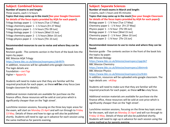# **Subject: Combined Science**

#### **Number of exams in and length:**

Three exams, each 1 ¼ hours

# **Topics that may come up in the mock [See your Google Classroom for details of the focus topics provided by AQA for each paper]:**

Trilogy biology paper 1 - 1 ¼ hours [Tue 17 May] Trilogy chemistry paper 1 - 1 ¼ hours [Fri 27 May] Trilogy physics paper 1 - 1 ¼ hours [Thr 09 Jun] Trilogy biology paper 2 - 1 ¼ hours [Wed 15 Jun] Trilogy chemistry paper 2 - 1 ¼ hours [Mon 10 Jun] Trilogy physics paper 2 - 1 ¼ hours [Thr 23 Jun]

# **Recommended resources to use to revise and where they can be found:**

Revision guide - The contents section in the front of the book lists the topics by paper.

BBC Bitesize AQA Trilogy

<https://www.bbc.co.uk/bitesize/examspecs/z8r997h> In addition, resources will be uploaded onto google classroom. The login details are:

Foundation – oxrr7qp Higher – 4gqqm2y

Students will need to make sure that they are familiar will the required practicals for each paper, as these **will be** a key focus (see Google classroom for details).

Additional revision materials are available for purchase via the finance office, these resources will be sold at cost price which is significantly cheaper than on the 'high street'.

Lunchtime revision sessions, focusing on the three key topic areas for the exam, will start on Monday 25 April and will run through to Friday 13 May. Details of these and how to sign up will also be published shortly. Students will need to sign up in advance for each session using the same method as for parents evening.

# **Subject: Separate Sciences**

**Number of mock exams in March and length:** 3 exams, each 1 hours and 45 minutes **Topics that may come up in the mock [See your Google Classroom for details of the focus topics provided by AQA for each paper]:**  Biology paper 1 - 1 ¾ hour [Tue 17 May] Chemistry paper 1 - 1 ¾ hour [Fri 27 May] Physics paper 1 - 1 ¾ hour [Thr 09 Jun] Biology paper 2 - 1 ¾ hour [Wed 15 Jun] Chemistry paper 2 - 1 ¾ hour [Mon 10 Jun] Physics paper 2 - 1 ¾ hour [Thr 23 Jun]

# **Recommended resources to use to revise and where they can be found:**

Revision guide - The contents section in the front of the book lists the topics by paper. BBC Bitesize Biology <https://www.bbc.co.uk/bitesize/examspecs/zpgcbk7> BBC Bitesize Chemistry <https://www.bbc.co.uk/bitesize/examspecs/z8xtmnb> BBC Bitesize Physics <https://www.bbc.co.uk/bitesize/examspecs/zsc9rdm> In addition, resources will be uploaded onto google classroom. The login details are: v4i3lap

Students will need to make sure that they are familiar will the required practicals for each paper, as these **will be** a key focus.

Additional revision materials are available for purchase via the finance office, these resources will be sold at cost price which is significantly cheaper than on the 'high street'.

Lunchtime revision sessions, focusing on the three key topic areas for the exam, will start on Monday 25 April and will run through to Friday 13 May. Details of these will also be published shortly. Students will need to sign up in advance for each session using the same method as for parents evening.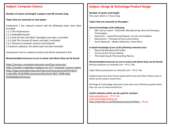# **Subject: Computer Science**

**Number of exams and length: 2 papers each 90 minutes long**

**Topics that are assessed on each paper:**

*Component 1 has reduced content and the following topics have been excluded:*

*1.1.2 CPU Performance*

*1.1.3 Embedded System*

*1.3.1 Only the Star and Mesh Topologies sub-topic is excluded*

- *1.3.2 Only The Concept of Layers sub-topic is excluded*
- *1.4.1 Threats to computer systems and networks*
- *1.5 Systems software, the whole topic has been excluded*

*Component 2 has no reduced content and will be examined in full.*

# **Recommended resources to use to revise and where they can be found:**

https://revisecs.computerscienceuk.com/free-resources/ <https://student.craigndave.org/gcse-ocr-j277-computer-science-videos> [https://app.senecalearning.com/classroom/course/a1ce4570-6e27-](https://app.senecalearning.com/classroom/course/a1ce4570-6e27-11e8-af4b-35cf52f905c2/section/65ac2e24-3b57-4598-b4dc-01e04eddee1b/session) 11e8-af4b-35cf52f905c2/section/65ac2e24-3b57-4598-b4dc-01e04eddee1b/session

# **Subject: Design & Technology Product Design**

**Number of exams and length:**

One exam which is 2 Hours long.

**Topics that are assessed on the paper:**

#### *General knowledge of the following:*

- D&T and our world *CAD/CAM, Manufacturing, New and Emerging Technologies.*
- Electronics *Inputs/Process/Outputs, Circuits and Feedback*
- Mechanisms *Principles of levers and motions*
- Smart Materials *Modern Materials, Smart Fibres.*

#### *In-depth knowledge of one of the following material areas:*

- *Natural & Manufactured Timber,*
- *Ferrous & Non-Ferrous Metals,*
- *Thermoforming & Thermosetting Plastics,*

**Recommended resources to use to revise and where they can be found:** Revision podcasts on sohamdt.com – YR 11 Tab

Super theory powerpoint on sohamdt.com – YR 11 Tab

Students also have their theory books which have all of their theory work in which can be used to revise from.

All Design & Technology classrooms have class sets of Revision guides which they can use to revise and borrow.

#### **Useful websites which can be used for revision:**

[www.sohamdt.com](http://www.sohamdt.com/) – YR 11 tab [www.technologystudent.com](http://www.technologystudent.com/) <https://www.bbc.co.uk/bitesize/examspecs/z4nfwty> - Eduqas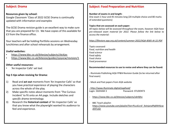# **Subject: Drama**

# **Resources given by school:**

Google Classroom 'Class of 2022 GCSE Drama is continually updated with information and examples

The GCSE Drama revision guide is an excellent way to make sure that you are prepared for C3. We have copies of this available for £3 from the finance office.

Your teachers will be holding Portfolio sessions on Wednesday lunchtimes and after school rehearsals by arrangement.

# **Useful websites:**

- <https://www.bbc.co.uk/bitesize/subjects/zbckjxs>
- <https://www.bbc.co.uk/bitesize/guides/zysyvcw/revision/1>

# **Other useful resources:**

• 'An Inspector Calls' set text

# **Top 5 tips when revising for Drama:**

- 1) Read and **act out** moments from 'An Inspector Calls' so that you have *practical experience* of playing the characters across the whole of the play.
- 2) Make specific notes about moments from 'The Curious Incident' to fit onto an A4 page. Include sketches and *specific drama terminology.*
- 3) Research the **historical context** of 'An Inspector Calls' so that you know what the playwright wanted his *audience* to feel and experience.

# **Subject: Food Preparation and Nutrition**

#### **Number of exams in and length:**

One exam 1 hour and 45 minutes long (20 multiple choice and 80 marks of extended questions)

#### **Topics that are assessed on each paper:**

*All topics below will be assessed throughout the exam, however AQA have pre-released exam material for 2022. Please follow the link below to access the material:*

*<https://filestore.aqa.org.uk/content/summer-2022/AQA-8585-AI-22.PDF>*

*Topics assessed: Food, nutrition and health Food science Food safety Food choice Food provenance*

# **Recommended resources to use to revise and where they can be found:**

- Illuminate Publishing AQA FP&N Revision Guide (to be returned after final exam)

- Mock and Past papers from AQA website
- <http://www.illuminate.digital/aqafood/> Login- SSOHAM 3 Password- STUDENT3
- <https://www.bbc.co.uk/bitesize/subjects/zdn9jhv>
- BBC Teach playlist: [https://www.youtube.com/playlist?list=PLcvEcrsF\\_9zInjxnoPbjRXHScw](https://www.youtube.com/playlist?list=PLcvEcrsF_9zInjxnoPbjRXHScwzEKTuGr) zEKTuGr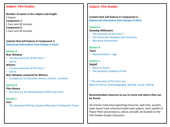# **Subject: Film Studies**

**Number of exams in the subject and length:** 2 Exams: *Component 1:*  1 hour and 30 minutes *Component 2:*  1 hour and 30 minutes

**Content that will feature in Component 1: (Advanced Information from Eduqas in blue)**

# **Section A**

# *Rear Window*

- The key elements of film form \*
- Genre

# *Witness*

- The key elements of film form \*
- Genre

# *Rear Window* **compared to** *Witness*

• Comparison of character, theme, context, narrative

# **Section B**

# **Film History**

• Key facts on the development of film over time.

# **Section C**

# *Juno*

• The Specialist Writing: Gustavo Mercado's *Finding the Frame* 

# **Subject: Film Studies**

**Content that will feature in Component 2: (Advanced Information from Eduqas in blue)**

# **Section A**

# *Slumdog Millionaire*

- The elements of film form \*
- The distinction between plot and story
- Narrative conventions

# **Section B**

# *Tsotsi*

• Representation – age

# **Section C**

# *Skyfall*

- Mise-en-Scene
- The aesthetic qualities of film

\* The elements of film form are: *Mise-en-Scene, Cinematography, lighting, sound, editing*

# **Recommended resources to use to revise and where they can be found:**

All revision materials/supporting resources, web links, quizlets, exam board mark schemes/model exam papers, and a wealth of Power Point presentations, videos and pdfs are located on the *Film Studies Google Classroom*.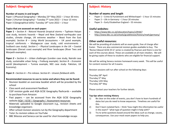# **Subject: Geography**

#### **Number of exams in and length:**

Paper 1 (Physical Geography) – Monday  $23^{rd}$  May  $2022 - 1$  hour 30 mins Paper 2 (Human Geography) – Tuesday  $7<sup>th</sup>$  June 2022 – 1 hour 15 mins Paper 3 (Geographical skills)- Tuesday 14<sup>th</sup> June 2022 - 1 hour

#### **Topics that are assessed on each paper:**

**Paper 1** – *Section A - Natural Hazards* (tropical storms – Typhoon Haiyan case study, tectonic hazards – Nepal and New Zealand earthquake case studies, climate change, UK extreme weather – Beast from the East example). *Section B – Living World* (ecosystems – UK pond example, tropical rainforests – Madagascar case study, cold environments – Svalbard case study). *Section C – Physical Landscapes in the UK* – Coastal landscapes (Dorset coast example) and River landscapes (River Tees and Morpeth examples).

*Paper 2 – Section A – Urban challenges* (London case study, Nairobi case study, sustainable urban living – Freiburg example). *Section B – Economic world* (development – Tunisia example, NEE case study- Pakistan, UK Economy).

*Paper 3 – Section A – Pre-release. Section B – Unseen fieldwork skills.*

#### **Recommended resources to use to revise and where they can be found:**

- Revision booklet an overview booklet which will be provided by the school
- Class work and assessment feedback
- CGP revision guide and AQA GCSE Geography flashcards available to purchase from Amazon
- Past papers can be accessed from the AQA GCSE Geography website AQA | GCSE | Geography | [Assessment](https://www.aqa.org.uk/subjects/geography/gcse/geography-8035/assessment-resources) resources
- Materials uploaded to Google classroom e.g., revision sheets and knowledge organisers
- After-school revision sessions run by the Geography department
- Tutor 2u revision videos on YouTube
- BBC Bitesize and Seneca can be used for short knowledge recaps

# **Subject: History**

# **Number of exams and length**

- Paper 1 Crime & Punishment and Whitechapel 1 hour 15 minutes
- Paper 2 Life in Germany 1 hour 20 minutes
- Paper 3 Early Elizabethan England 55 minutes

## **Useful websites:**

- <https://www.bbc.co.uk/education/topics/z29rbk7>
- <http://www.bbc.co.uk/schools/gcsebitesize/history/mwh/germany/>

# **Other useful resources:**

We will be providing all students will an exam guide, free of charge after Easter. There are also commercial revision guides available to buy. The 'Revise Edexcel GCSE (9-1)' series is created by Pearson and there is one for each of the courses above. These are available at all main retailers. We will be giving copies of these to students who are eligible for financial support.

We will be setting Seneca revision homework every week. This will be useful for content revision for all 3 exams.

Revision sessions will run after school on the following days:

Thursday 28th April Thursday 5th May Thursday 12th May Thursday 26<sup>th</sup> May

Please contact your teachers for further details.

#### **Top tips when revising History**

- 1) Be clear on the order of events, you don't have to learn hundreds of dates but you do need to know sequences. Timelines are useful for this.
- 2) Don't learn isolated facts think 'how might this information be useful in the exam?' 'what type of question might it help with?'
- 3) Try to write questions based around the ideas such as change, causes, consequences. Use your mock exam papers to help you.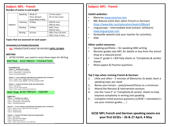# **Subject: MFL - French**

## **Number of exams in and length:**

|  | <b>FRENCH</b> | Speaking  | Weds 27          | 12 mins prep +     |  |  |
|--|---------------|-----------|------------------|--------------------|--|--|
|  |               |           | Thurs 28 April   | 10-12 mins exam    |  |  |
|  |               |           | Duals Weds 4 May |                    |  |  |
|  |               | Listening | 24 May           | HGR 45 mins        |  |  |
|  |               |           |                  | FDN 35 mins        |  |  |
|  |               | Reading   | 24 May           | HGR 1 hour         |  |  |
|  |               |           |                  | FDN 45 mins        |  |  |
|  |               | Writing   | 16 June          | HGR 1 hour 20 mins |  |  |
|  |               |           |                  | FDN 1 hour 5 mins  |  |  |

**Topics that are assessed on each paper:**

# **SPEAKING/LISTENING/READING**

• **ALL** THEMES/TOPICS MUST BE REVISED **UNTIL 24 MAY**

#### **WRITING**

• AFTER 24 MAY, you need to revise these topics for Writing

WRITING GCSE FRENCH - FOUNDATION

**Foundation tier** Theme 1 - Identity and culture Topic 1: Me, my family and friends Topic 2: Technology in everyday life Topic 3: Free-time activities

Theme 2 - Local, national, international and global areas of interest Topic 1: Home, town, neighbourhood and region Topic 2: Social issues (Health + charity/voluntary work)

Theme 3 - Current and future study and employment Topic 1: My studies Topic 2: Life at school/college Topic 4: Jobs, career choices and ambitions

# WRITING GCSE FRENCH - HIGHER

#### **Higher tier**

Theme 1 - Identity and culture Topic 1: Me, my family and friends Topic 2: Technology in everyday life Topic 3: Free-time activities

Theme 2 - Local, national, international and global areas of interest Topic 1: Home, town, neighbourhood and region Topic 2: Social issues Topic 3: Global issues

Theme 3 - Current and future study and employment Topic 1: My studies Topic 2: Life at school/college Topic 3: Education post-16 Topic 4: Jobs, career choices and ambitions

# **Subject: MFL - French**

#### **Useful websites:**

- Memrise [www.memrise.com](http://www.aqa.org.uk/subjects/languages/gcse/german-8668)
- BBC Bitesize (click then select French or German) [https://www.bbc.com/education/levels/z98jmp3](http://www.aqa.org.uk/subjects/languages/gcse/german-8668)
- Linguascope Intermediate level (soham; let5learn) [www.linguascope.com](http://www.linguascope.com/)
- Kerboodle website (ask your teacher for activities)
- AQA

# **Other useful resources:**

- Speaking portfolios for speaking AND writing
- Revision guides (see MFL for details or buy from the school shop at a reduced price)
- 'Love it' grade 5 + 8/9 help sheets or 'Complexity & variety' sheets
- Mock papers & Practice questions

# **Top 5 tips when revising French & German:**

- 1. Little and often 5 minutes of Memorise 3x week; learn a speaking topic per week
- 2. Revise your tenses past/present/future as a minimum
- 3. Attend the Revision & Intervention sessions
- 4. Use the 'Love it' or 'Complexity & variety' sheets to help improve complexity in writing and speaking
- 5. Complete timed practice questions  $(L/R/W +$  translation) + use your revision guides……!

# **GCSE MFL French and German speaking exams are your first GCSEs – 26 & 27 April, 4 May**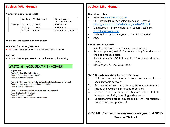# **Subject: MFL - German**

#### **Number of exams in and length:**

|               | <b>Speaking</b> | Weds 27 April | 12 mins prep $+$   |
|---------------|-----------------|---------------|--------------------|
|               |                 |               | 10-12 mins exam    |
| <b>GERMAN</b> | Listening       | 18 May        | HGR 45 mins        |
|               | Reading         | 18 May        | HGR 1 hour         |
|               | Writing         | 6 June        | HGR 1 hour 20 mins |

#### **Topics that are assessed on each paper:**

#### **SPEAKING/LISTENING/READING**

• **ALL** THEMES/TOPICS MUST BE REVISED **UNTIL 24 MAY**

#### **WRITING**

• AFTER 18 MAY, you need to revise these topics for Writing

# WRITING GCSE GERMAN - HIGHER

#### **Higher tier**

Theme 1 - Identity and culture Topic 2: Technology in everyday life Topic 3: Free-time activities

Theme 2 - Local, national, international and global areas of interest Topic 1: Home, town, neighbourhood and region Topic 4: Travel and tourism

Theme 3 - Current and future study and employment Topic 2: Life at school/college Topic 3: Education post-16 Topic 4: Jobs, career choices and ambitions

# **Subject: MFL - German**

## **Useful websites:**

- Memrise [www.memrise.com](http://www.aqa.org.uk/subjects/languages/gcse/german-8668)
- BBC Bitesize (click then select French or German) [https://www.bbc.com/education/levels/z98jmp3](http://www.aqa.org.uk/subjects/languages/gcse/german-8668)
- Linguascope Intermediate level (soham; let5learn) [www.linguascope.com](http://www.linguascope.com/)
- Kerboodle website (ask your teacher for activities)
- AQA

# **Other useful resources:**

- Speaking portfolios for speaking AND writing
- Revision guides (see MFL for details or buy from the school shop at a reduced price)
- 'Love it' grade 5 + 8/9 help sheets or 'Complexity & variety' sheets
- Mock papers & Practice questions

# **Top 5 tips when revising French & German:**

- 1. Little and often 5 minutes of Memorise 3x week; learn a speaking topic per week
- 2. Revise your tenses past/present/future as a minimum
- 3. Attend the Revision & Intervention sessions
- 4. Use the 'Love it' or 'Complexity & variety' sheets to help improve complexity in writing and speaking
- 5. Complete timed practice questions  $(L/R/W +$  translation) + use your revision guides……!

**GCSE MFL German speaking exams are your first GCSEs Tuesday 26 April**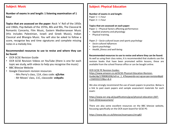# **Subject: Music**

**Number of exams in and length: 1 listening examination of 1 hour**

**Topics that are assessed on the paper:** Rock 'n' Roll of the 1950s and 1960s, Pop Ballads of the 1970s, 80s and 90s, The Classical & Romantic Concerto, Film Music, Eastern Mediterranean Music (this includes Palestinian, Israeli and Greek Music), Indian Classical and Bhangra Music. You will also be asked to follow a score, recognise key and time signatures and complete missing notes in a melody line.

# **Recommended resources to use to revise and where they can be found:**

- OCR GCSE Revision Guide
- OCR GCSE Revision Videos on YouTube (there is one for each topic we study, with videos to help you recognise the music)
- BBC Bitesize Website
- Google Classroom revision resources
	- Mrs Perry's class, 11A, class code: **xj2c4ex**
	- Mr Moses' class, 11C, classcode: **vvbyahs**

# **Subject: Physical Education**

**Number of exams in and length:** Paper  $1 = 1$  hour Paper  $2 = 1$  hour

**Topics that are assessed on each paper:**

Paper 1 – Physical factors affecting performance:

- Applied anatomy and physiology
- Physical training.

*Paper 2 – Socio-cultural issues and sports psychology*

- *Socio-cultural influences*
- *Sports psychology*
- *Health, fitness and well-being.*

**Recommended resources to use to revise and where they can be found:** As well as using their class notes, It is recommended that students use the revision books that have been promoted within lessons, these are available from the school finance office or can be bought online.

# OCR GCSE PE Revision Guides:

https://www.amazon.co.uk/GCSE-Physical-Education-Revision-[Guide/dp/1789083206/ref=sr\\_1\\_4?keywords=ocr+gcse+pe+revision&qid](https://www.amazon.co.uk/GCSE-Physical-Education-Revision-Guide/dp/1789083206/ref=sr_1_4?keywords=ocr+gcse+pe+revision&qid=1569332219&sr=8-4) =1569332219&sr=8-4

We also strongly recommend the use of exam papers to practice. Below is a link to past exam papers and sample assessment materials for each exam:

[https://www.ocr.org.uk/qualifications/gcse/physical-education-j587](https://www.ocr.org.uk/qualifications/gcse/physical-education-j587-from-2016/assessment/) from-2016/assessment/

There are also some excellent resources on the BBC bitesize website, focussing specifically on the OCR exam board for GCSE PE:

<https://www.bbc.co.uk/bitesize/examspecs/ztrcg82>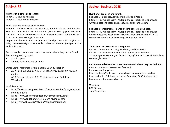# **Subject: RE**

#### **Number of exams in and length:**

Paper 1 - 1 hour 45 minutes Paper 2 - 1 hour and 45 minutes

#### Topics that are assessed on each paper:

**Paper 1** – Christian Beliefs and Practices, Buddhist Beliefs and Practices. You must refer to the AQA information given to you by your teacher to see which topics will be the main focus for the questions. This information is also available on Google Classroom.

**Paper 2** – Theme A (Relationships and Family), Theme B (Religion and Life), Theme D (Religion, Peace and Conflict) and Theme E (Religion, Crime and Punishment).

Recommended resources to use to revise and where they can be found: Resources given by school:

- Mock papers
- Sample questions and answers

Other useful resources (available from your RE teacher):

- AQA Religious Studies A (9-1) Christianity & Buddhism revision guide.
- AQA Religious Studies A (9-1) Christianity and Buddhism Workbook

#### Useful websites:

- [http://www.aqa.org.uk/subjects/religious-studies/gcse/religious](http://www.aqa.org.uk/subjects/religious-studies/gcse/religious-studies-a-8062)studies-a-8062
- <https://www.bbc.com/education/examspecs/zy7spbk>
- <https://www.buddhanet.net/e-learning/index.htm>
- <http://www.bbc.co.uk/religion/religions/christianity>

# **Subject: Business GCSE**

#### **Number of exams in and length:**

Business 1 – Business Activity, Marketing and People. 80 marks, 90 minute exam - Multiple choice, short and long answer written questions based on case studies given in the exam.

Business 2 – Operations, Finance and Influences on Business. 80 marks, 90 minute exam - Multiple choice, short and long answer written questions based on case studies given in the exam. \*\*This is synoptic so can draw on knowledge from paper 1 too.\*\*

#### **Topics that are assessed on each paper:**

*Business 1 – Business Activity, Marketing and People/HR Business 2 – Operations, Finance and Influences on Business \*\*On google classroom you have a copy of the topics which have been removed for 2022\*\**

#### **Recommended resources to use to revise and where they can be found:**

Class workbook and assessment feedback In-house revision guides Revision sheets/flash cards – which have been completed in class Revision book – Published by Hodder Education GCSE Business (9-1) Business revision google clssroom

#### **Websites:**

BBC Bitesize Tutor2u website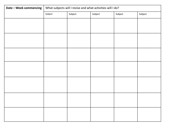| <b>Date - Week commencing</b> | What subjects will I revise and what activities will I do? |         |         |         |         |  |  |  |
|-------------------------------|------------------------------------------------------------|---------|---------|---------|---------|--|--|--|
|                               | Subject                                                    | Subject | Subject | Subject | Subject |  |  |  |
|                               |                                                            |         |         |         |         |  |  |  |
|                               |                                                            |         |         |         |         |  |  |  |
|                               |                                                            |         |         |         |         |  |  |  |
|                               |                                                            |         |         |         |         |  |  |  |
|                               |                                                            |         |         |         |         |  |  |  |
|                               |                                                            |         |         |         |         |  |  |  |
|                               |                                                            |         |         |         |         |  |  |  |
|                               |                                                            |         |         |         |         |  |  |  |
|                               |                                                            |         |         |         |         |  |  |  |
|                               |                                                            |         |         |         |         |  |  |  |
|                               |                                                            |         |         |         |         |  |  |  |
|                               |                                                            |         |         |         |         |  |  |  |
|                               |                                                            |         |         |         |         |  |  |  |
|                               |                                                            |         |         |         |         |  |  |  |